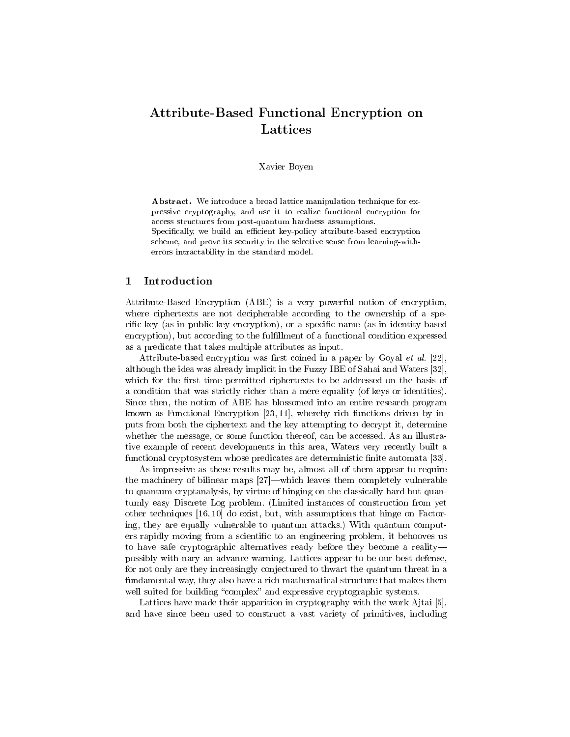# Attribute-Based Functional Encryption on Lattices

#### Xavier Boyen

Abstract. We introduce a broad lattice manipulation technique for expressive cryptography, and use it to realize functional encryption for access structures from post-quantum hardness assumptions.

Specifically, we build an efficient key-policy attribute-based encryption scheme, and prove its security in the selective sense from learning-witherrors intractability in the standard model.

# 1 Introduction

Attribute-Based Encryption (ABE) is a very powerful notion of encryption, where ciphertexts are not decipherable according to the ownership of a specific key (as in public-key encryption), or a specific name (as in identity-based encryption), but according to the fulfillment of a functional condition expressed as a predicate that takes multiple attributes as input.

Attribute-based encryption was first coined in a paper by Goyal et al.  $[22]$ , although the idea was already implicit in the Fuzzy IBE of Sahai and Waters [32], which for the first time permitted ciphertexts to be addressed on the basis of a condition that was strictly richer than a mere equality (of keys or identities). Since then, the notion of ABE has blossomed into an entire research program known as Functional Encryption [23, 11], whereby rich functions driven by inputs from both the ciphertext and the key attempting to decrypt it, determine whether the message, or some function thereof, can be accessed. As an illustrative example of recent developments in this area, Waters very recently built a functional cryptosystem whose predicates are deterministic finite automata [33].

As impressive as these results may be, almost all of them appear to require the machinery of bilinear maps  $[27]$ —which leaves them completely vulnerable to quantum cryptanalysis, by virtue of hinging on the classically hard but quantumly easy Discrete Log problem. (Limited instances of construction from yet other techniques [16, 10] do exist, but, with assumptions that hinge on Factoring, they are equally vulnerable to quantum attacks.) With quantum computers rapidly moving from a scientific to an engineering problem, it behooves us to have safe cryptographic alternatives ready before they become a reality possibly with nary an advance warning. Lattices appear to be our best defense, for not only are they increasingly conjectured to thwart the quantum threat in a fundamental way, they also have a rich mathematical structure that makes them well suited for building "complex" and expressive cryptographic systems.

Lattices have made their apparition in cryptography with the work Ajtai [5], and have since been used to construct a vast variety of primitives, including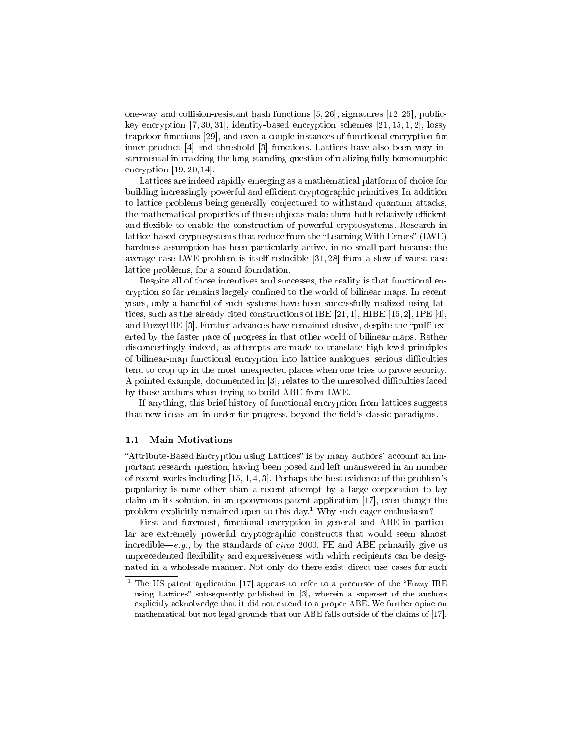one-way and collision-resistant hash functions [5, 26], signatures [12, 25], publickey encryption  $[7, 30, 31]$ , identity-based encryption schemes  $[21, 15, 1, 2]$ , lossy trapdoor functions [29], and even a couple instances of functional encryption for inner-product [4] and threshold [3] functions. Lattices have also been very instrumental in cracking the long-standing question of realizing fully homomorphic encryption [19, 20, 14].

Lattices are indeed rapidly emerging as a mathematical platform of choice for building increasingly powerful and efficient cryptographic primitives. In addition to lattice problems being generally conjectured to withstand quantum attacks, the mathematical properties of these objects make them both relatively efficient and flexible to enable the construction of powerful cryptosystems. Research in lattice-based cryptosystems that reduce from the "Learning With Errors" (LWE) hardness assumption has been particularly active, in no small part because the average-case LWE problem is itself reducible [31, 28] from a slew of worst-case lattice problems, for a sound foundation.

Despite all of those incentives and successes, the reality is that functional encryption so far remains largely confined to the world of bilinear maps. In recent years, only a handful of such systems have been successfully realized using lattices, such as the already cited constructions of IBE [21, 1], HIBE [15, 2], IPE [4], and FuzzyIBE  $[3]$ . Further advances have remained elusive, despite the "pull" exerted by the faster pace of progress in that other world of bilinear maps. Rather disconcertingly indeed, as attempts are made to translate high-level principles of bilinear-map functional encryption into lattice analogues, serious difficulties tend to crop up in the most unexpected places when one tries to prove security. A pointed example, documented in  $[3]$ , relates to the unresolved difficulties faced by those authors when trying to build ABE from LWE.

If anything, this brief history of functional encryption from lattices suggests that new ideas are in order for progress, beyond the field's classic paradigms.

#### 1.1 Main Motivations

"Attribute-Based Encryption using Lattices" is by many authors' account an important research question, having been posed and left unanswered in an number of recent works including  $[15, 1, 4, 3]$ . Perhaps the best evidence of the problem's popularity is none other than a recent attempt by a large corporation to lay claim on its solution, in an eponymous patent application [17], even though the problem explicitly remained open to this day.<sup>1</sup> Why such eager enthusiasm?

First and foremost, functional encryption in general and ABE in particular are extremely powerful cryptographic constructs that would seem almost incredible—e.g., by the standards of circa 2000. FE and ABE primarily give us unprecedented flexibility and expressiveness with which recipients can be designated in a wholesale manner. Not only do there exist direct use cases for such

 $1$  The US patent application [17] appears to refer to a precursor of the "Fuzzy IBE using Lattices" subsequently published in [3], wherein a superset of the authors explicitly acknolwedge that it did not extend to a proper ABE. We further opine on mathematical but not legal grounds that our ABE falls outside of the claims of [17].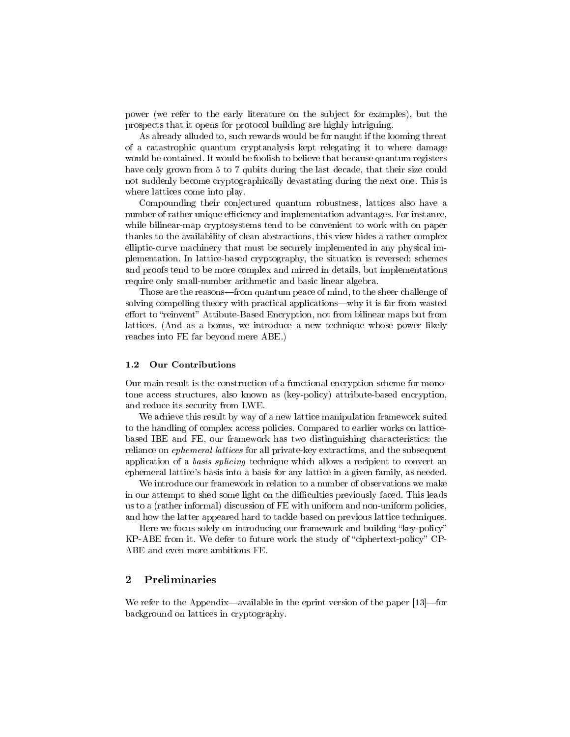power (we refer to the early literature on the subject for examples), but the prospects that it opens for protocol building are highly intriguing.

As already alluded to, such rewards would be for naught if the looming threat of a catastrophic quantum cryptanalysis kept relegating it to where damage would be contained. It would be foolish to believe that because quantum registers have only grown from 5 to 7 qubits during the last decade, that their size could not suddenly become cryptographically devastating during the next one. This is where lattices come into play.

Compounding their conjectured quantum robustness, lattices also have a number of rather unique efficiency and implementation advantages. For instance, while bilinear-map cryptosystems tend to be convenient to work with on paper thanks to the availability of clean abstractions, this view hides a rather complex elliptic-curve machinery that must be securely implemented in any physical implementation. In lattice-based cryptography, the situation is reversed: schemes and proofs tend to be more complex and mirred in details, but implementations require only small-number arithmetic and basic linear algebra.

Those are the reasons—from quantum peace of mind, to the sheer challenge of solving compelling theory with practical applications—why it is far from wasted effort to "reinvent" Attibute-Based Encryption, not from bilinear maps but from lattices. (And as a bonus, we introduce a new technique whose power likely reaches into FE far beyond mere ABE.)

## 1.2 Our Contributions

Our main result is the construction of a functional encryption scheme for monotone access structures, also known as (key-policy) attribute-based encryption, and reduce its security from LWE.

We achieve this result by way of a new lattice manipulation framework suited to the handling of complex access policies. Compared to earlier works on latticebased IBE and FE, our framework has two distinguishing characteristics: the reliance on ephemeral lattices for all private-key extractions, and the subsequent application of a basis splicing technique which allows a recipient to convert an ephemeral lattice's basis into a basis for any lattice in a given family, as needed.

We introduce our framework in relation to a number of observations we make in our attempt to shed some light on the difficulties previously faced. This leads us to a (rather informal) discussion of FE with uniform and non-uniform policies, and how the latter appeared hard to tackle based on previous lattice techniques.

Here we focus solely on introducing our framework and building "key-policy" KP-ABE from it. We defer to future work the study of "ciphertext-policy" CP-ABE and even more ambitious FE.

## 2 Preliminaries

We refer to the Appendix—available in the eprint version of the paper  $[13]$ —for background on lattices in cryptography.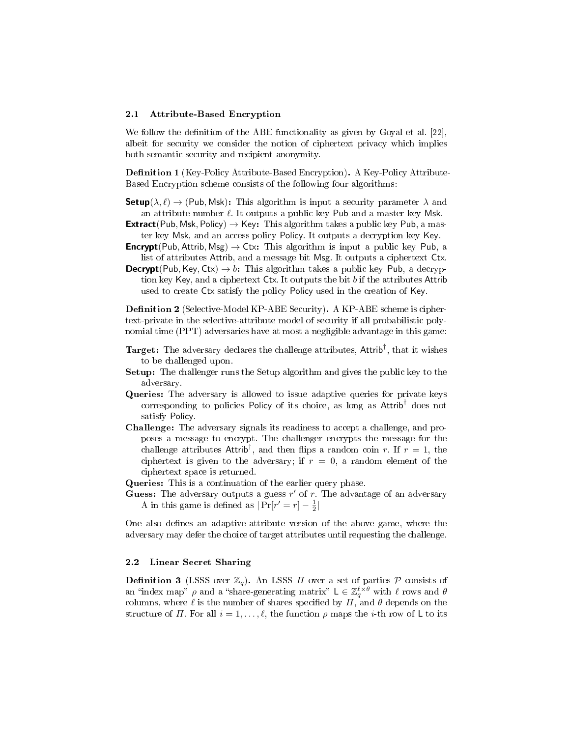#### 2.1 Attribute-Based Encryption

We follow the definition of the ABE functionality as given by Goyal et al.  $[22]$ , albeit for security we consider the notion of ciphertext privacy which implies both semantic security and recipient anonymity.

**Definition 1** (Key-Policy Attribute-Based Encryption). A Key-Policy Attribute-Based Encryption scheme consists of the following four algorithms:

**Setup**( $\lambda, \ell$ )  $\rightarrow$  (Pub, Msk): This algorithm is input a security parameter  $\lambda$  and an attribute number  $\ell$ . It outputs a public key Pub and a master key Msk.

- **Extract**(Pub, Msk, Policy)  $\rightarrow$  Key: This algorithm takes a public key Pub, a master key Msk, and an access policy Policy. It outputs a decryption key Key.
- **Encrypt**(Pub, Attrib, Msg)  $\rightarrow$  Ctx: This algorithm is input a public key Pub, a list of attributes Attrib, and a message bit Msg. It outputs a ciphertext Ctx.
- **Decrypt**(Pub, Key, Ctx)  $\rightarrow b$ : This algorithm takes a public key Pub, a decryption key Key, and a ciphertext Ctx. It outputs the bit b if the attributes Attrib used to create Ctx satisfy the policy Policy used in the creation of Key.

**Definition 2** (Selective-Model KP-ABE Security). A KP-ABE scheme is ciphertext-private in the selective-attribute model of security if all probabilistic polynomial time (PPT) adversaries have at most a negligible advantage in this game:

- $\texttt{Target:}$  The adversary declares the challenge attributes,  $\textsf{Attrib}^\dagger,$  that it wishes to be challenged upon.
- Setup: The challenger runs the Setup algorithm and gives the public key to the adversary.
- Queries: The adversary is allowed to issue adaptive queries for private keys corresponding to policies Policy of its choice, as long as Attrib† does not satisfy Policy.
- Challenge: The adversary signals its readiness to accept a challenge, and proposes a message to encrypt. The challenger encrypts the message for the challenge attributes Attrib<sup>†</sup>, and then flips a random coin r. If  $r = 1$ , the ciphertext is given to the adversary; if  $r = 0$ , a random element of the ciphertext space is returned.

Queries: This is a continuation of the earlier query phase.

Guess: The adversary outputs a guess  $r'$  of r. The advantage of an adversary A in this game is defined as  $|\Pr[r'=r]-\frac{1}{2}|$ 

One also defines an adaptive-attribute version of the above game, where the adversary may defer the choice of target attributes until requesting the challenge.

#### 2.2 Linear Secret Sharing

**Definition 3** (LSSS over  $\mathbb{Z}_q$ ). An LSSS  $\Pi$  over a set of parties  $P$  consists of an "index map"  $\rho$  and a "share-generating matrix"  $L \in \mathbb{Z}_q^{\ell \times \theta}$  with  $\ell$  rows and  $\theta$ columns, where  $\ell$  is the number of shares specified by  $\Pi$ , and  $\theta$  depends on the structure of  $\Pi$ . For all  $i = 1, \ldots, \ell$ , the function  $\rho$  maps the *i*-th row of L to its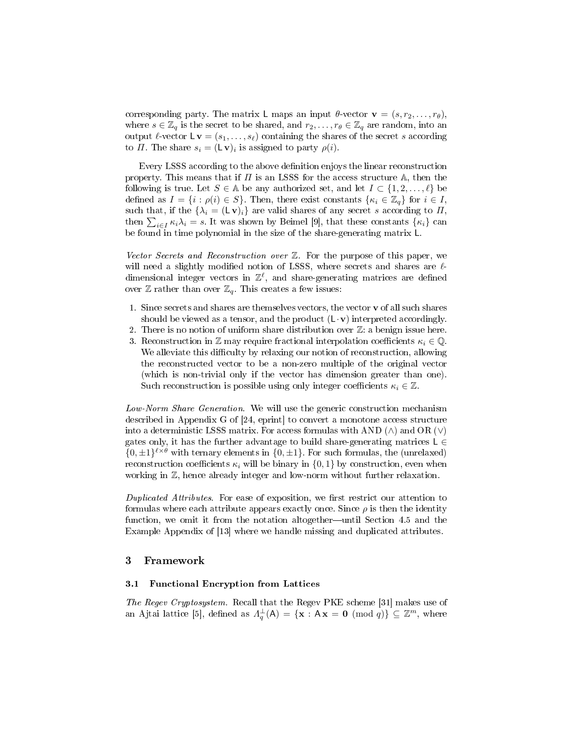corresponding party. The matrix L maps an input  $\theta$ -vector  $\mathbf{v} = (s, r_2, \dots, r_{\theta}),$ where  $s \in \mathbb{Z}_q$  is the secret to be shared, and  $r_2, \ldots, r_{\theta} \in \mathbb{Z}_q$  are random, into an output  $\ell$ -vector  $\mathsf{L} \mathbf{v} = (s_1, \ldots, s_\ell)$  containing the shares of the secret s according to  $\Pi$ . The share  $s_i = (\mathsf{L}\,\mathbf{v})_i$  is assigned to party  $\rho(i)$ .

Every LSSS according to the above denition enjoys the linear reconstruction property. This means that if  $\Pi$  is an LSSS for the access structure  $\mathbb A$ , then the following is true. Let  $S \in A$  be any authorized set, and let  $I \subset \{1, 2, \ldots, \ell\}$  be defined as  $I = \{i : \rho(i) \in S\}$ . Then, there exist constants  $\{\kappa_i \in \mathbb{Z}_q\}$  for  $i \in I$ , such that, if the  $\{\lambda_i = (\mathsf{L} \mathbf{v})_i\}$  are valid shares of any secret s according to  $\Pi$ , then  $\sum_{i\in I} \kappa_i \lambda_i = s$ . It was shown by Beimel [9], that these constants  $\{\kappa_i\}$  can be found in time polynomial in the size of the share-generating matrix L.

Vector Secrets and Reconstruction over  $\mathbb{Z}$ . For the purpose of this paper, we will need a slightly modified notion of LSSS, where secrets and shares are  $\ell$ dimensional integer vectors in  $\mathbb{Z}^{\ell}$ , and share-generating matrices are defined over  $\mathbb Z$  rather than over  $\mathbb Z_q$ . This creates a few issues:

- 1. Since secrets and shares are themselves vectors, the vector  $\mathbf v$  of all such shares should be viewed as a tensor, and the product  $(L \cdot v)$  interpreted accordingly.
- 2. There is no notion of uniform share distribution over  $\mathbb{Z}$ : a benign issue here.
- 3. Reconstruction in Z may require fractional interpolation coefficients  $\kappa_i \in \mathbb{Q}$ . We alleviate this difficulty by relaxing our notion of reconstruction, allowing the reconstructed vector to be a non-zero multiple of the original vector (which is non-trivial only if the vector has dimension greater than one). Such reconstruction is possible using only integer coefficients  $\kappa_i \in \mathbb{Z}$ .

Low-Norm Share Generation. We will use the generic construction mechanism described in Appendix G of [24, eprint] to convert a monotone access structure into a deterministic LSSS matrix. For access formulas with AND  $(∧)$  and OR  $(∨)$ gates only, it has the further advantage to build share-generating matrices  $\mathsf{L} \in$  $\{0,\pm 1\}^{\ell\times\theta}$  with ternary elements in  $\{0,\pm 1\}$ . For such formulas, the (unrelaxed) reconstruction coefficients  $\kappa_i$  will be binary in  $\{0,1\}$  by construction, even when working in  $\mathbb{Z}$ , hence already integer and low-norm without further relaxation.

Duplicated Attributes. For ease of exposition, we first restrict our attention to formulas where each attribute appears exactly once. Since  $\rho$  is then the identity function, we omit it from the notation altogether—until Section 4.5 and the Example Appendix of [13] where we handle missing and duplicated attributes.

## 3 Framework

## 3.1 Functional Encryption from Lattices

The Regev Cryptosystem. Recall that the Regev PKE scheme [31] makes use of an Ajtai lattice [5], defined as  $\Lambda_q^{\perp}(\mathsf{A}) = \{\mathbf{x} : \mathsf{A}\mathbf{x} = \mathbf{0} \pmod{q}\} \subseteq \mathbb{Z}^m$ , where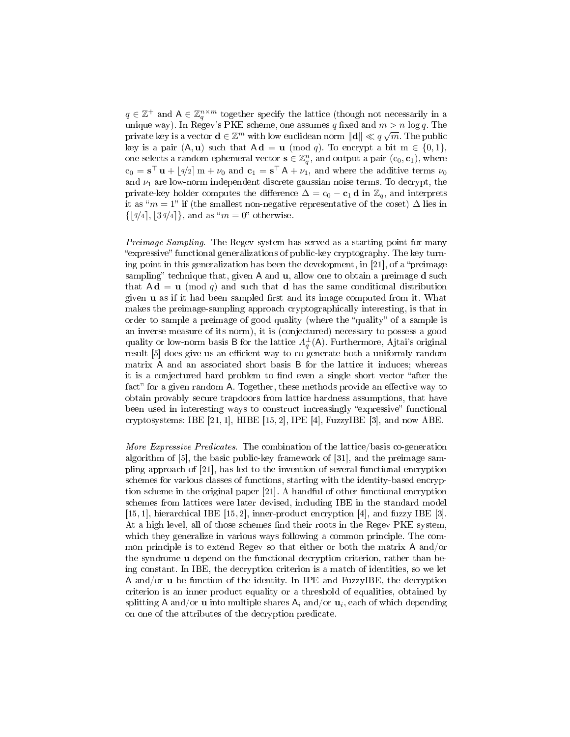$q \in \mathbb{Z}^+$  and  $A \in \mathbb{Z}_q^{n \times m}$  together specify the lattice (though not necessarily in a unique way). In Regev's PKE scheme, one assumes q fixed and  $m > n \log q$ . The private key is a vector  $\mathbf{d} \in \mathbb{Z}^m$  with low euclidean norm  $\|\mathbf{d}\| \ll q\sqrt{m}$ . The public key is a pair  $(A, u)$  such that  $Ad = u \pmod{q}$ . To encrypt a bit  $m \in \{0, 1\}$ , one selects a random ephemeral vector  $\mathbf{s} \in \mathbb{Z}_q^n$ , and output a pair  $(c_0, \mathbf{c}_1)$ , where  $c_0 = s^{\top} u + \lfloor 4/2 \rfloor m + \nu_0$  and  $c_1 = s^{\top} A + \nu_1$ , and where the additive terms  $\nu_0$ and  $\nu_1$  are low-norm independent discrete gaussian noise terms. To decrypt, the private-key holder computes the difference  $\Delta = c_0 - c_1 d$  in  $\mathbb{Z}_q$ , and interprets it as " $m = 1$ " if (the smallest non-negative representative of the coset)  $\Delta$  lies in  $\{|q/4|, |3 q/4|\},$  and as " $m = 0$ " otherwise.

Preimage Sampling. The Regev system has served as a starting point for many expressive" functional generalizations of public-key cryptography. The key turning point in this generalization has been the development, in  $[21]$ , of a "preimage" sampling" technique that, given  $A$  and  $u$ , allow one to obtain a preimage  $d$  such that  $Ad = u \pmod{q}$  and such that d has the same conditional distribution given  $\bf{u}$  as if it had been sampled first and its image computed from it. What makes the preimage-sampling approach cryptographically interesting, is that in order to sample a preimage of good quality (where the "quality" of a sample is an inverse measure of its norm), it is (conjectured) necessary to possess a good quality or low-norm basis B for the lattice  $\Lambda_q^{\perp}(\mathsf{A})$ . Furthermore, Ajtai's original result [5] does give us an efficient way to co-generate both a uniformly random matrix A and an associated short basis B for the lattice it induces; whereas it is a conjectured hard problem to find even a single short vector "after the fact" for a given random A. Together, these methods provide an effective way to obtain provably secure trapdoors from lattice hardness assumptions, that have been used in interesting ways to construct increasingly "expressive" functional cryptosystems: IBE  $[21, 1]$ , HIBE  $[15, 2]$ , IPE  $[4]$ , FuzzyIBE  $[3]$ , and now ABE.

More Expressive Predicates. The combination of the lattice/basis co-generation algorithm of [5], the basic public-key framework of [31], and the preimage sampling approach of [21], has led to the invention of several functional encryption schemes for various classes of functions, starting with the identity-based encryption scheme in the original paper [21]. A handful of other functional encryption schemes from lattices were later devised, including IBE in the standard model [15, 1], hierarchical IBE [15, 2], inner-product encryption [4], and fuzzy IBE [3]. At a high level, all of those schemes find their roots in the Regev PKE system, which they generalize in various ways following a common principle. The common principle is to extend Regev so that either or both the matrix A and/or the syndrome u depend on the functional decryption criterion, rather than being constant. In IBE, the decryption criterion is a match of identities, so we let A and/or u be function of the identity. In IPE and FuzzyIBE, the decryption criterion is an inner product equality or a threshold of equalities, obtained by splitting **A** and/or  ${\bf u}$  into multiple shares  ${\sf A}_i$  and/or  ${\bf u}_i,$  each of which depending on one of the attributes of the decryption predicate.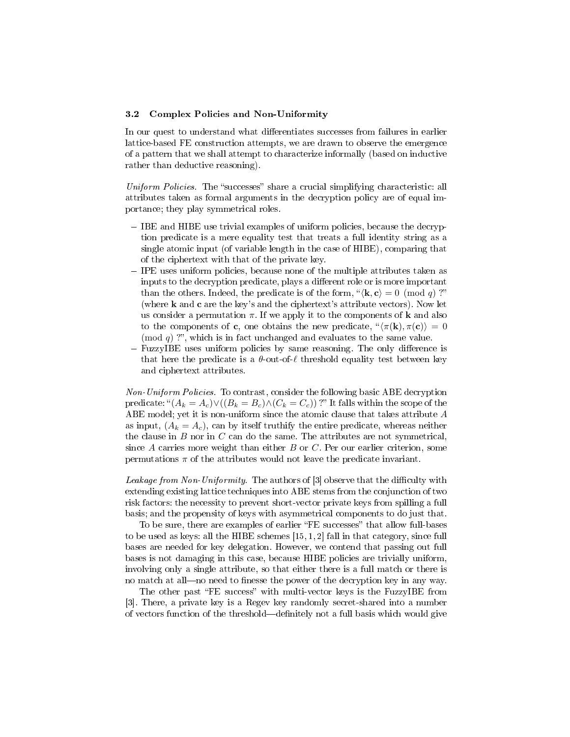#### 3.2 Complex Policies and Non-Uniformity

In our quest to understand what differentiates successes from failures in earlier lattice-based FE construction attempts, we are drawn to observe the emergence of a pattern that we shall attempt to characterize informally (based on inductive rather than deductive reasoning).

Uniform Policies. The "successes" share a crucial simplifying characteristic: all attributes taken as formal arguments in the decryption policy are of equal importance; they play symmetrical roles.

- $-$  IBE and HIBE use trivial examples of uniform policies, because the decryption predicate is a mere equality test that treats a full identity string as a single atomic input (of variable length in the case of HIBE), comparing that of the ciphertext with that of the private key.
- IPE uses uniform policies, because none of the multiple attributes taken as inputs to the decryption predicate, plays a different role or is more important than the others. Indeed, the predicate is of the form,  $\mathscr{C}(\mathbf{k}, \mathbf{c}) = 0 \pmod{q}$ ?" (where k and c are the key's and the ciphertext's attribute vectors). Now let us consider a permutation  $\pi$ . If we apply it to the components of **k** and also to the components of **c**, one obtains the new predicate,  $\langle \pi(\mathbf{k}), \pi(\mathbf{c}) \rangle = 0$ (mod  $q$ ) ?", which is in fact unchanged and evaluates to the same value.
- FuzzyIBE uses uniform policies by same reasoning. The only difference is that here the predicate is a  $\theta$ -out-of- $\ell$  threshold equality test between key and ciphertext attributes.

Non-Uniform Policies. To contrast, consider the following basic ABE decryption predicate: " $(A_k = A_c) \vee ((B_k = B_c) \wedge (C_k = C_c))$ ?" It falls within the scope of the ABE model; yet it is non-uniform since the atomic clause that takes attribute A as input,  $(A_k = A_c)$ , can by itself truthify the entire predicate, whereas neither the clause in  $B$  nor in  $C$  can do the same. The attributes are not symmetrical, since  $A$  carries more weight than either  $B$  or  $C$ . Per our earlier criterion, some permutations  $\pi$  of the attributes would not leave the predicate invariant.

Leakage from Non-Uniformity. The authors of  $[3]$  observe that the difficulty with extending existing lattice techniques into ABE stems from the conjunction of two risk factors: the necessity to prevent short-vector private keys from spilling a full basis; and the propensity of keys with asymmetrical components to do just that.

To be sure, there are examples of earlier "FE successes" that allow full-bases to be used as keys: all the HIBE schemes [15, 1, 2] fall in that category, since full bases are needed for key delegation. However, we contend that passing out full bases is not damaging in this case, because HIBE policies are trivially uniform, involving only a single attribute, so that either there is a full match or there is no match at all—no need to finesse the power of the decryption key in any way.

The other past "FE success" with multi-vector keys is the FuzzyIBE from [3]. There, a private key is a Regev key randomly secret-shared into a number of vectors function of the threshold—definitely not a full basis which would give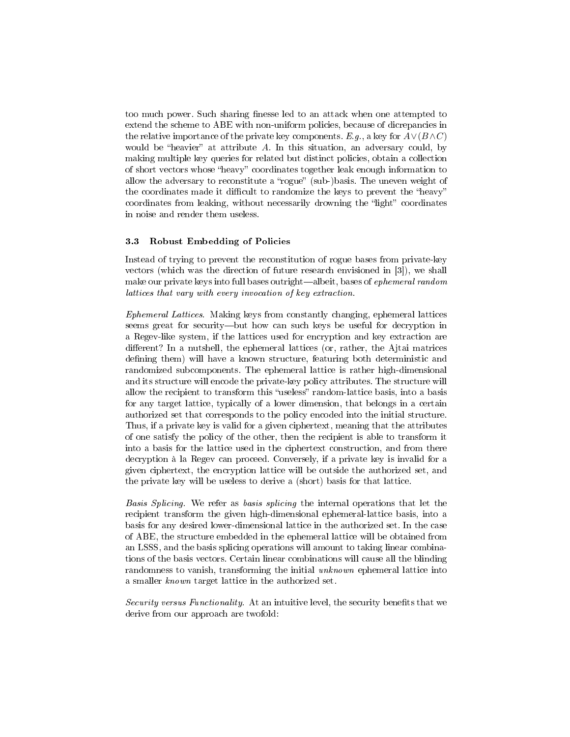too much power. Such sharing finesse led to an attack when one attempted to extend the scheme to ABE with non-uniform policies, because of dicrepancies in the relative importance of the private key components. E.g., a key for  $A\vee(B\wedge C)$ would be "heavier" at attribute  $A$ . In this situation, an adversary could, by making multiple key queries for related but distinct policies, obtain a collection of short vectors whose "heavy" coordinates together leak enough information to allow the adversary to reconstitute a "rogue" (sub-)basis. The uneven weight of the coordinates made it difficult to randomize the keys to prevent the "heavy" coordinates from leaking, without necessarily drowning the "light" coordinates in noise and render them useless.

## 3.3 Robust Embedding of Policies

Instead of trying to prevent the reconstitution of rogue bases from private-key vectors (which was the direction of future research envisioned in [3]), we shall make our private keys into full bases outright—albeit, bases of ephemeral random lattices that vary with every invocation of key extraction.

Ephemeral Lattices. Making keys from constantly changing, ephemeral lattices seems great for security—but how can such keys be useful for decryption in a Regev-like system, if the lattices used for encryption and key extraction are different? In a nutshell, the ephemeral lattices (or, rather, the Ajtai matrices defining them) will have a known structure, featuring both deterministic and randomized subcomponents. The ephemeral lattice is rather high-dimensional and its structure will encode the private-key policy attributes. The structure will allow the recipient to transform this "useless" random-lattice basis, into a basis for any target lattice, typically of a lower dimension, that belongs in a certain authorized set that corresponds to the policy encoded into the initial structure. Thus, if a private key is valid for a given ciphertext, meaning that the attributes of one satisfy the policy of the other, then the recipient is able to transform it into a basis for the lattice used in the ciphertext construction, and from there decryption à la Regev can proceed. Conversely, if a private key is invalid for a given ciphertext, the encryption lattice will be outside the authorized set, and the private key will be useless to derive a (short) basis for that lattice.

Basis Splicing. We refer as basis splicing the internal operations that let the recipient transform the given high-dimensional ephemeral-lattice basis, into a basis for any desired lower-dimensional lattice in the authorized set. In the case of ABE, the structure embedded in the ephemeral lattice will be obtained from an LSSS, and the basis splicing operations will amount to taking linear combinations of the basis vectors. Certain linear combinations will cause all the blinding randomness to vanish, transforming the initial unknown ephemeral lattice into a smaller known target lattice in the authorized set.

Security versus Functionality. At an intuitive level, the security benefits that we derive from our approach are twofold: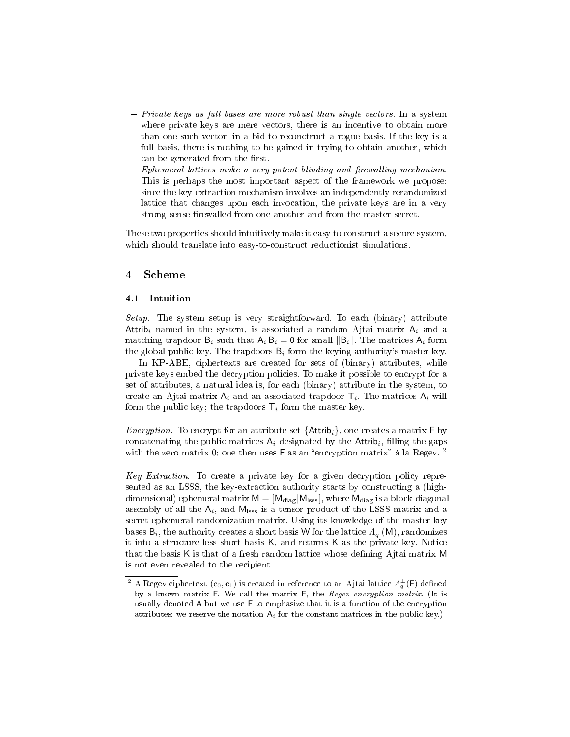- $P$  Private keys as full bases are more robust than single vectors. In a system where private keys are mere vectors, there is an incentive to obtain more than one such vector, in a bid to reconctruct a rogue basis. If the key is a full basis, there is nothing to be gained in trying to obtain another, which can be generated from the first.
- $-$  Ephemeral lattices make a very potent blinding and firewalling mechanism. This is perhaps the most important aspect of the framework we propose: since the key-extraction mechanism involves an independently rerandomized lattice that changes upon each invocation, the private keys are in a very strong sense firewalled from one another and from the master secret.

These two properties should intuitively make it easy to construct a secure system, which should translate into easy-to-construct reductionist simulations.

## 4 Scheme

#### 4.1 Intuition

Setup. The system setup is very straightforward. To each (binary) attribute Attrib<sub>i</sub> named in the system, is associated a random Ajtai matrix  $A_i$  and a matching trapdoor  $B_i$  such that  $A_i B_i = 0$  for small  $\|B_i\|$ . The matrices  $A_i$  form the global public key. The trapdoors  $B_i$  form the keying authority's master key.

In KP-ABE, ciphertexts are created for sets of (binary) attributes, while private keys embed the decryption policies. To make it possible to encrypt for a set of attributes, a natural idea is, for each (binary) attribute in the system, to create an Ajtai matrix  $A_i$  and an associated trapdoor  $\mathsf{T}_i$ . The matrices  $\mathsf{A}_i$  will form the public key; the trapdoors  $\mathsf{T}_i$  form the master key.

*Encryption.* To encrypt for an attribute set  $\{Attribute\}$ , one creates a matrix F by concatenating the public matrices  $A_i$  designated by the Attrib<sub>i</sub>, filling the gaps with the zero matrix 0; one then uses  $F$  as an "encryption matrix" à la Regev. <sup>2</sup>

Key Extraction. To create a private key for a given decryption policy represented as an LSSS, the key-extraction authority starts by constructing a (highdimensional) ephemeral matrix  $M = [M_{\text{diag}}|M_{\text{loss}}]$ , where  $M_{\text{diag}}$  is a block-diagonal assembly of all the  $\mathsf{A}_i$ , and  $\mathsf{M}_{\text{loss}}$  is a tensor product of the LSSS matrix and a secret ephemeral randomization matrix. Using its knowledge of the master-key bases  $\mathsf{B}_i$ , the authority creates a short basis W for the lattice  $\varLambda_q^\perp(\mathsf{M}),$  randomizes it into a structure-less short basis K, and returns K as the private key. Notice that the basis K is that of a fresh random lattice whose dening Ajtai matrix M is not even revealed to the recipient.

<sup>&</sup>lt;sup>2</sup> A Regev ciphertext (c<sub>0</sub>, **c**<sub>1</sub>) is created in reference to an Ajtai lattice  $\Lambda_q^{\perp}(\mathsf{F})$  defined by a known matrix F. We call the matrix F, the Regev encryption matrix. (It is usually denoted A but we use F to emphasize that it is a function of the encryption attributes; we reserve the notation  $A_i$  for the constant matrices in the public key.)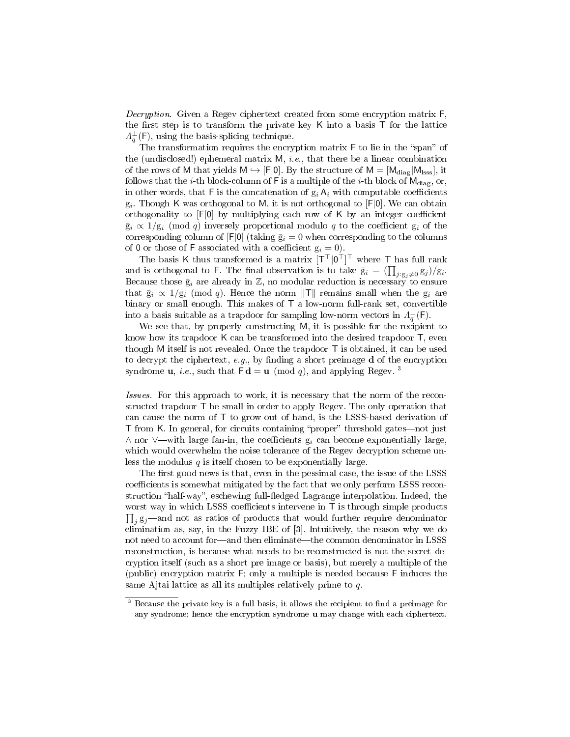Decryption. Given a Regev ciphertext created from some encryption matrix F. the first step is to transform the private key  $K$  into a basis  $T$  for the lattice  $\Lambda_q^{\perp}(\mathsf{F})$ , using the basis-splicing technique.

The transformation requires the encryption matrix  $F$  to lie in the "span" of the (undisclosed!) ephemeral matrix  $M$ , *i.e.*, that there be a linear combination of the rows of M that yields  $M \hookrightarrow [F[0]$ . By the structure of  $M = [M_{diag}|M_{loss}]$ , it follows that the *i*-th block-column of F is a multiple of the *i*-th block of  $M_{\text{diag}}$ , or, in other words, that F is the concatenation of  $g_i A_i$  with computable coefficients  $\mathrm{g}_i$ . Though K was orthogonal to M, it is not orthogonal to [F|0]. We can obtain orthogonality to  $[F|0]$  by multiplying each row of K by an integer coefficient  $\bar{g}_i \propto 1/g_i \pmod{q}$  inversely proportional modulo q to the coefficient  $g_i$  of the corresponding column of  $[F|0]$  (taking  $\bar{g}_i = 0$  when corresponding to the columns of 0 or those of F associated with a coefficient  $g_i = 0$ .

The basis K thus transformed is a matrix  $[T^\top|0^\top]^\top$  where T has full rank and is orthogonal to F. The final observation is to take  $\bar{g}_i = (\prod_{j:g_j \neq 0} g_j)/g_i$ . Because those  $\bar{g}_i$  are already in Z, no modular reduction is necessary to ensure that  $\bar{g}_i \propto 1/g_i \pmod{q}$ . Hence the norm  $\Vert T \Vert$  remains small when the  $g_i$  are binary or small enough. This makes of T a low-norm full-rank set, convertible into a basis suitable as a trapdoor for sampling low-norm vectors in  $\Lambda_q^{\perp}(\mathsf{F}).$ 

We see that, by properly constructing M, it is possible for the recipient to know how its trapdoor K can be transformed into the desired trapdoor T, even though M itself is not revealed. Once the trapdoor T is obtained, it can be used to decrypt the ciphertext, e.g., by finding a short preimage  $d$  of the encryption syndrome **u**, *i.e.*, such that  $F d = u \pmod{q}$ , and applying Regev.<sup>3</sup>

Issues. For this approach to work, it is necessary that the norm of the reconstructed trapdoor T be small in order to apply Regev. The only operation that can cause the norm of T to grow out of hand, is the LSSS-based derivation of T from K. In general, for circuits containing "proper" threshold gates—not just ∧ nor ∨—with large fan-in, the coefficients  $g_i$  can become exponentially large, which would overwhelm the noise tolerance of the Regev decryption scheme unless the modulus  $q$  is itself chosen to be exponentially large.

The first good news is that, even in the pessimal case, the issue of the LSSS coefficients is somewhat mitigated by the fact that we only perform LSSS reconstruction "half-way", eschewing full-fledged Lagrange interpolation. Indeed, the worst way in which LSSS coefficients intervene in  $\textsf{T}$  is through simple products  $\prod_j {\rm g}_j$ —and not as ratios of products that would further require denominator elimination as, say, in the Fuzzy IBE of [3]. Intuitively, the reason why we do not need to account for-and then eliminate-the common denominator in LSSS reconstruction, is because what needs to be reconstructed is not the secret decryption itself (such as a short pre image or basis), but merely a multiple of the (public) encryption matrix F; only a multiple is needed because F induces the same Ajtai lattice as all its multiples relatively prime to  $q$ .

 $3$  Because the private key is a full basis, it allows the recipient to find a preimage for any syndrome; hence the encryption syndrome u may change with each ciphertext.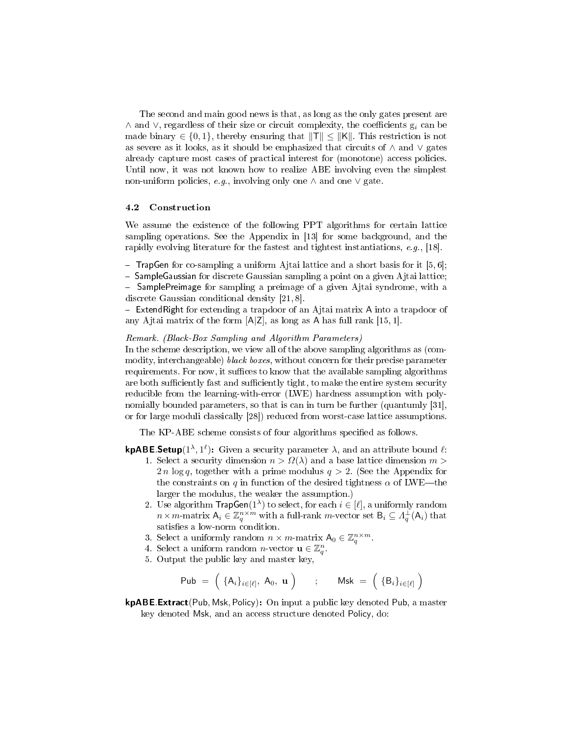The second and main good news is that, as long as the only gates present are  $\wedge$  and  $\vee$ , regardless of their size or circuit complexity, the coefficients  $g_i$  can be made binary  $\in \{0, 1\}$ , thereby ensuring that  $\|\mathsf{T}\| \leq \|\mathsf{K}\|$ . This restriction is not as severe as it looks, as it should be emphasized that circuits of ∧ and ∨ gates already capture most cases of practical interest for (monotone) access policies. Until now, it was not known how to realize ABE involving even the simplest non-uniform policies, e.g., involving only one  $\wedge$  and one  $\vee$  gate.

#### 4.2 Construction

We assume the existence of the following PPT algorithms for certain lattice sampling operations. See the Appendix in [13] for some background, and the rapidly evolving literature for the fastest and tightest instantiations, e.g., [18].

 $-$  TrapGen for co-sampling a uniform Ajtai lattice and a short basis for it [5, 6];

 $-$  Sample Gaussian for discrete Gaussian sampling a point on a given Ajtai lattice;

- SamplePreimage for sampling a preimage of a given Ajtai syndrome, with a discrete Gaussian conditional density [21, 8].

 $\overline{E}$  ExtendRight for extending a trapdoor of an Ajtai matrix A into a trapdoor of any Ajtai matrix of the form  $[A|Z]$ , as long as A has full rank  $[15, 1]$ .

#### Remark. (Black-Box Sampling and Algorithm Parameters)

In the scheme description, we view all of the above sampling algorithms as (commodity, interchangeable) black boxes, without concern for their precise parameter requirements. For now, it suffices to know that the available sampling algorithms are both sufficiently fast and sufficiently tight, to make the entire system security reducible from the learning-with-error (LWE) hardness assumption with polynomially bounded parameters, so that is can in turn be further (quantumly [31], or for large moduli classically [28]) reduced from worst-case lattice assumptions.

The KP-ABE scheme consists of four algorithms specified as follows.

## kpABE.Setup( $1^{\lambda}, 1^{\ell}$ ): Given a security parameter  $\lambda$ , and an attribute bound  $\ell$ :

- 1. Select a security dimension  $n > \Omega(\lambda)$  and a base lattice dimension  $m >$ 2*n* log q, together with a prime modulus  $q > 2$ . (See the Appendix for the constraints on q in function of the desired tightness  $\alpha$  of LWE—the larger the modulus, the weaker the assumption.)
- 2. Use algorithm  $\mathsf{TrapGen}(1^{\lambda})$  to select, for each  $i \in [\ell]$ , a uniformly random  $n \times m$ -matrix  $A_i \in \mathbb{Z}_q^{n \times m}$  with a full-rank m-vector set  $B_i \subseteq A_q^{\perp}(A_i)$  that satisfies a low-norm condition.
- 3. Select a uniformly random  $n \times m$ -matrix  $A_0 \in \mathbb{Z}_q^{n \times m}$ .
- 4. Select a uniform random *n*-vector  $\mathbf{u} \in \mathbb{Z}_q^n$ .
- 5. Output the public key and master key,

$$
\mathsf{Pub} \;=\; \Big(\;\{\mathsf{A}_i\}_{i\in [\ell]},\ \mathsf{A}_0,\ \mathbf{u}\;\Big) \qquad;\qquad \mathsf{Msk}\;=\; \Big(\;\{\mathsf{B}_i\}_{i\in [\ell]}\;\Big)
$$

kpABE.Extract(Pub, Msk, Policy): On input a public key denoted Pub, a master key denoted Msk, and an access structure denoted Policy, do: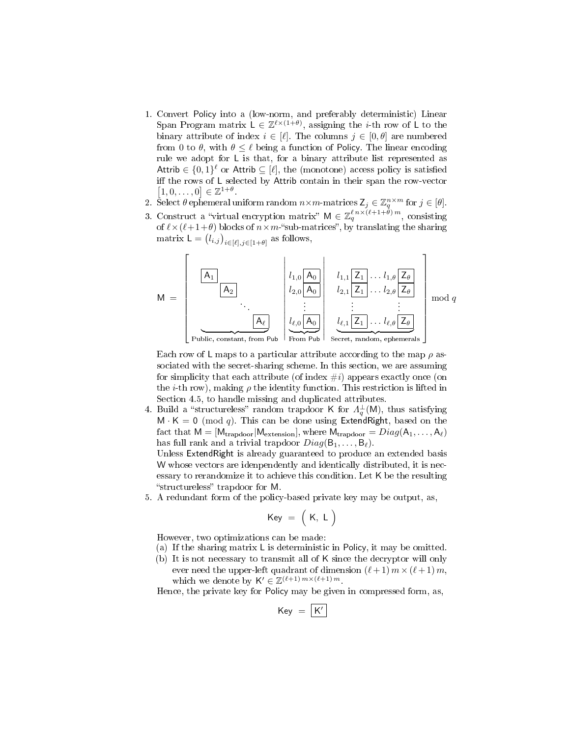- 1. Convert Policy into a (low-norm, and preferably deterministic) Linear Span Program matrix  $L \in \mathbb{Z}^{\ell \times (1+\theta)}$ , assigning the *i*-th row of L to the binary attribute of index  $i \in [\ell]$ . The columns  $j \in [0, \ell]$  are numbered from 0 to  $\theta$ , with  $\theta \leq \ell$  being a function of Policy. The linear encoding rule we adopt for L is that, for a binary attribute list represented as Attrib  $\in \{0,1\}^{\ell}$  or Attrib  $\subseteq [\ell]$ , the (monotone) access policy is satisfied iff the rows of  $L$  selected by Attrib contain in their span the row-vector  $[1, 0, \ldots, 0] \in \mathbb{Z}^{1+\theta}.$
- 2. Select  $\theta$  ephemeral uniform random  $n \times m$ -matrices  $\mathsf{Z}_j \in \mathbb{Z}_q^{n \times m}$  for  $j \in [\theta]$ .
- 3. Construct a "virtual encryption matrix"  $M \in \mathbb{Z}_q^{\ell n \times (\ell+1+\tilde{\theta}) m}$ , consisting of  $\ell \times (\ell+1+\theta)$  blocks of  $n \times m$ -"sub-matrices", by translating the sharing matrix  $\mathsf{L} = (l_{i,j})_{i \in [\ell], j \in [1+\theta]}$  as follows,



 $\overline{\phantom{a}}$ From Pub  $\mid$ Secret, random, ephemerals

Each row of L maps to a particular attribute according to the map  $\rho$  associated with the secret-sharing scheme. In this section, we are assuming for simplicity that each attribute (of index  $\#i$ ) appears exactly once (on the *i*-th row), making  $\rho$  the identity function. This restriction is lifted in Section 4.5, to handle missing and duplicated attributes.

4. Build a "structureless" random trapdoor K for  $\Lambda_q^{\perp}(M)$ , thus satisfying  $M \cdot K = 0 \pmod{q}$ . This can be done using ExtendRight, based on the fact that  $M = [M_{trapdoor}|M_{extension}]$ , where  $M_{trapdoor} = Diag(A_1, \ldots, A_\ell)$ has full rank and a trivial trapdoor  $Diag(\mathsf{B}_1, \ldots, \mathsf{B}_\ell)$ .

Unless ExtendRight is already guaranteed to produce an extended basis W whose vectors are idenpendently and identically distributed, it is necessary to rerandomize it to achieve this condition. Let K be the resulting "structureless" trapdoor for M.

5. A redundant form of the policy-based private key may be output, as,

$$
\mathsf{Key}~=~\Big(~\mathsf{K},~\mathsf{L}~\Big)
$$

However, two optimizations can be made:

- (a) If the sharing matrix L is deterministic in Policy, it may be omitted.
- (b) It is not necessary to transmit all of K since the decryptor will only ever need the upper-left quadrant of dimension  $(\ell + 1)$   $m \times (\ell + 1)$  m. which we denote by  $\mathsf{K}' \in \mathbb{Z}^{(\ell+1) m \times (\ell+1) m}$ .

Hence, the private key for Policy may be given in compressed form, as,

$$
\mathsf{Key}~=~\boxed{\mathsf{K}'}
$$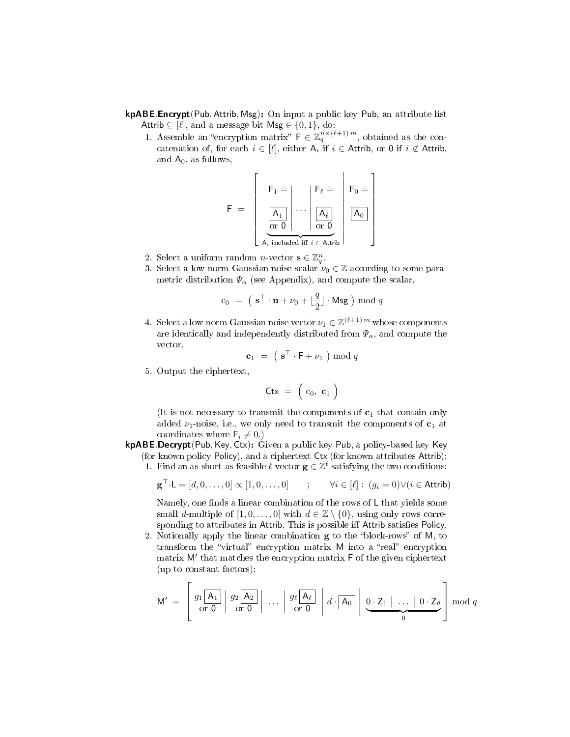- kpABE.Encrypt(Pub, Attrib, Msg): On input a public key Pub, an attribute list Attrib  $\subseteq$  [ $\ell$ ], and a message bit Msg  $\in$  {0, 1}, do:
	- 1. Assemble an "encryption matrix"  $\mathsf{F} \in \mathbb{Z}_q^{n \times (\ell+1)m}$ , obtained as the concatenation of, for each  $i \in [\ell],$  either  $A_i$  if  $i \in$  Attrib, or 0 if  $i \notin$  Attrib, and  $A_0$ , as follows,

$$
F \; = \; \left[\begin{array}{c|c} \vphantom{\Big|}\mathsf{F}_1 \; \dot{=}\; \\ \hline \begin{array}{c} \hline \mathsf{A}_1 \\ \hline \mathsf{or}\; 0 \end{array}\right] \cdots \begin{array}{c} \mathsf{F}_\ell \; \dot{=}\; \\ \hline \begin{array}{c} \hline \mathsf{A}_\ell \\ \hline \mathsf{or}\; 0 \end{array}\right] \; \overline{\left[\begin{array}{c} \mathsf{A}_0 \end{array}\right]} \end{array}\right]
$$

- 2. Select a uniform random *n*-vector  $\mathbf{s} \in \mathbb{Z}_q^n$ .
- 3. Select a low-norm Gaussian noise scalar  $\nu_0 \in \mathbb{Z}$  according to some parametric distribution  $\Psi_{\alpha}$  (see Appendix), and compute the scalar,

$$
c_0 = (\mathbf{s}^\top \cdot \mathbf{u} + \nu_0 + \lfloor \frac{q}{2} \rfloor \cdot \mathsf{Msg} \cdot \mathsf{mod} \; q
$$

4. Select a low-norm Gaussian noise vector  $\nu_1 \in \mathbb{Z}^{(\ell+1) m}$  whose components are identically and independently distributed from  $\Psi_{\alpha}$ , and compute the vector,

$$
\mathbf{c}_1 = (\mathbf{s}^\top \cdot \mathbf{F} + \nu_1) \bmod q
$$

5. Output the ciphertext,

$$
\mathsf{Ctx}~=~\Big( \!\begin{array}{cc} c_0, & \mathbf{c}_1 \end{array} \!\Big)
$$

(It is not necessary to transmit the components of  $c_1$  that contain only added  $\nu_1$ -noise, i.e., we only need to transmit the components of  $c_1$  at coordinates where  $\mathsf{F}_i \neq 0.$ )

- kpABE.Decrypt(Pub, Key, Ctx): Given a public key Pub, a policy-based key Key (for known policy Policy), and a ciphertext Ctx (for known attributes Attrib):
	- 1. Find an as-short-as-feasible  $\ell$ -vector  $g \in \mathbb{Z}^{\ell}$  satisfying the two conditions:

$$
\mathbf{g}^{\top} \cdot \mathsf{L} = [d, 0, \dots, 0] \propto [1, 0, \dots, 0] \qquad ; \qquad \forall i \in [\ell] : (g_i = 0) \vee (i \in \mathsf{Attrib})
$$

Namely, one finds a linear combination of the rows of  $L$  that yields some small d-multiple of  $[1, 0, \ldots, 0]$  with  $d \in \mathbb{Z} \setminus \{0\}$ , using only rows corresponding to attributes in Attrib. This is possible iff Attrib satisfies Policy.

2. Notionally apply the linear combination  $g$  to the "block-rows" of M, to transform the "virtual" encryption matrix M into a "real" encryption matrix M' that matches the encryption matrix F of the given ciphertext (up to constant factors):

$$
M' = \left[ \begin{array}{c|c} g_1 \overline{A_1} & g_2 \overline{A_2} \\ \hline \text{or } 0 & \text{or } 0 \end{array} \right| \dots \left| \begin{array}{c|c} g_\ell \overline{A_\ell} & a \cdot \overline{A_0} \\ \hline \text{or } 0 & 0 \end{array} \right| d \cdot \overline{A_0} \right] \underbrace{0 \cdot Z_1 \mid \dots \mid 0 \cdot Z_\theta}_{0} \right] \bmod q
$$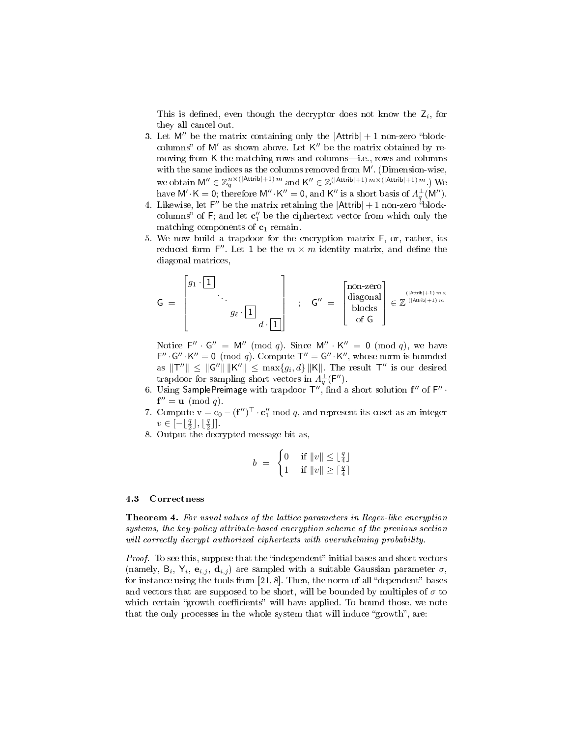This is defined, even though the decryptor does not know the  $Z_i$ , for they all cancel out.

- 3. Let  $M''$  be the matrix containing only the  $|Attrib| + 1$  non-zero "blockcolumns" of  $M'$  as shown above. Let  $K''$  be the matrix obtained by removing from  $K$  the matching rows and columns—i.e., rows and columns with the same indices as the columns removed from  $M'$ . (Dimension-wise, we obtain  $M'' \in \mathbb{Z}_q^{n \times (\vert \text{Attrib} \vert + 1) m}$  and  $K'' \in \mathbb{Z}^{(\vert \text{Attrib} \vert + 1) m \times (\vert \text{Attrib} \vert + 1) m}$ .) We have  $\mathsf{M}'\cdot\mathsf{K}=\mathsf{0}$ ; therefore  $\mathsf{M}''\cdot\mathsf{K}''=0$ , and  $\mathsf{K}''$  is a short basis of  $\Lambda_q^{\perp}(\mathsf{M}'').$
- 4. Likewise, let  $F''$  be the matrix retaining the  $|Attribute| + 1$  non-zero  $\alpha$  blockcolumns" of  $F$ ; and let  $\mathbf{c}''_1$  be the ciphertext vector from which only the matching components of  $c_1$  remain.
- 5. We now build a trapdoor for the encryption matrix F, or, rather, its reduced form  $F''$ . Let 1 be the  $m \times m$  identity matrix, and define the diagonal matrices,

$$
\mathsf{G} \;=\; \begin{bmatrix} g_1 \cdot \boxed{1} & & & \\ & \ddots & & \\ & & g_\ell \cdot \boxed{1} & \\ & & & d \cdot \boxed{1} \end{bmatrix} \hspace{0.2cm} ; \hspace{0.3cm} \mathsf{G}'' \;=\; \begin{bmatrix} \text{non-zero} \\ \text{diagonal} \\ \text{blocks} \\ \text{of } \mathsf{G} \end{bmatrix} \in \mathbb{Z}^{\frac{(|\mathrm{Artrib}|+1)\, m \times |}{(|\mathrm{Artrib}|+1)\, m}}
$$

Notice  $F'' \cdot G'' = M'' \pmod{q}$ . Since  $M'' \cdot K'' = 0 \pmod{q}$ , we have  $F'' \cdot G'' \cdot K'' = 0 \pmod{q}$ . Compute  $T'' = G'' \cdot K''$ , whose norm is bounded as  $\Vert \mathsf{T}'' \Vert \leq \Vert \mathsf{G}'' \Vert \Vert \mathsf{K}'' \Vert \leq \max\{g_i, d\} \Vert \mathsf{K} \Vert$ . The result  $\mathsf{T}''$  is our desired trapdoor for sampling short vectors in  $\Lambda_q^{\perp}(\mathsf{F}'')$ .

- 6. Using SamplePreimage with trapdoor  $T'',$  find a short solution  $f''$  of  $F''$   $\cdot$  $f'' = u \pmod{q}.$
- 7. Compute  $v = c_0 (f'')^\top \cdot c''_1 \mod q$ , and represent its coset as an integer  $v \in [-\lfloor \frac{q}{2} \rfloor, \lfloor \frac{q}{2} \rfloor].$
- 8. Output the decrypted message bit as,

$$
b = \begin{cases} 0 & \text{if } ||v|| \le \lfloor \frac{q}{4} \rfloor \\ 1 & \text{if } ||v|| \ge \lceil \frac{q}{4} \rceil \end{cases}
$$

## 4.3 Correctness

Theorem 4. For usual values of the lattice parameters in Regev-like encryption systems, the key-policy attribute-based encryption scheme of the previous section will correctly decrypt authorized ciphertexts with overwhelming probability.

Proof. To see this, suppose that the "independent" initial bases and short vectors (namely,  $B_i$ ,  $Y_i$ ,  $e_{i,j}$ ,  $d_{i,j}$ ) are sampled with a suitable Gaussian parameter  $\sigma$ , for instance using the tools from  $[21, 8]$ . Then, the norm of all "dependent" bases and vectors that are supposed to be short, will be bounded by multiples of  $\sigma$  to which certain "growth coefficients" will have applied. To bound those, we note that the only processes in the whole system that will induce "growth", are: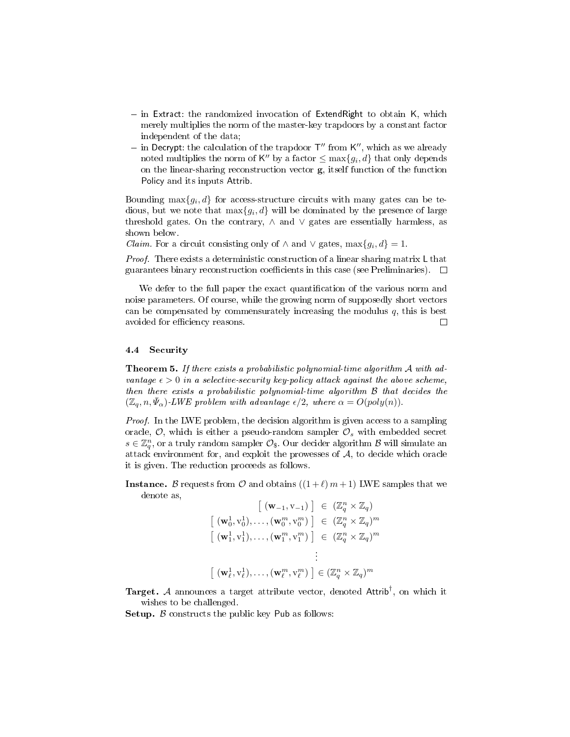- $\overline{\phantom{a}}$  in Extract: the randomized invocation of ExtendRight to obtain K, which merely multiplies the norm of the master-key trapdoors by a constant factor independent of the data;
- in Decrypt: the calculation of the trapdoor  $T''$  from  $K''$ , which as we already noted multiplies the norm of  $\mathsf{K}''$  by a factor  $\leq \max\{g_i,d\}$  that only depends on the linear-sharing reconstruction vector g, itself function of the function Policy and its inputs Attrib.

Bounding  $\max\{g_i, d\}$  for access-structure circuits with many gates can be tedious, but we note that  $\max\{g_i, d\}$  will be dominated by the presence of large threshold gates. On the contrary,  $\land$  and  $\lor$  gates are essentially harmless, as shown below.

*Claim.* For a circuit consisting only of  $\land$  and  $\lor$  gates, max $\{g_i, d\} = 1$ .

Proof. There exists a deterministic construction of a linear sharing matrix L that guarantees binary reconstruction coefficients in this case (see Preliminaries).  $\Box$ 

We defer to the full paper the exact quantification of the various norm and noise parameters. Of course, while the growing norm of supposedly short vectors can be compensated by commensurately increasing the modulus  $q$ , this is best avoided for efficiency reasons.  $\Box$ 

#### 4.4 Security

Theorem 5. If there exists a probabilistic polynomial-time algorithm A with advantage  $\epsilon > 0$  in a selective-security key-policy attack against the above scheme, then there exists a probabilistic polynomial-time algorithm B that decides the  $(\mathbb{Z}_q, n, \bar{\Psi}_{\alpha})$ -LWE problem with advantage  $\epsilon/2$ , where  $\alpha = O(poly(n)).$ 

Proof. In the LWE problem, the decision algorithm is given access to a sampling oracle,  $\mathcal{O}$ , which is either a pseudo-random sampler  $\mathcal{O}_s$  with embedded secret  $s \in \mathbb{Z}_q^n$ , or a truly random sampler  $\mathcal{O}_\$$ . Our decider algorithm  $\mathcal B$  will simulate an attack environment for, and exploit the prowesses of  $A$ , to decide which oracle it is given. The reduction proceeds as follows.

**Instance.** B requests from  $\mathcal{O}$  and obtains  $((1 + \ell) m + 1)$  LWE samples that we denote as,

$$
\begin{aligned}\n\left[ \begin{array}{c} (\mathbf{w}_{-1}, \mathbf{v}_{-1}) \end{array} \right] &\in \begin{array}{c} (\mathbb{Z}^n_q \times \mathbb{Z}_q) \\
\left[ \begin{array}{c} (\mathbf{w}_0^1, \mathbf{v}_0^1), \dots, (\mathbf{w}_0^m, \mathbf{v}_0^m) \end{array} \right] &\in \begin{array}{c} (\mathbb{Z}^n_q \times \mathbb{Z}_q)^m \\
\left[ \begin{array}{c} (\mathbf{w}_1^1, \mathbf{v}_1^1), \dots, (\mathbf{w}_1^m, \mathbf{v}_1^m) \end{array} \right] &\in \begin{array}{c} (\mathbb{Z}^n_q \times \mathbb{Z}_q)^m \\
\vdots\n\end{array}\n\end{aligned}
$$
\n
$$
\begin{array}{c} \left[ \begin{array}{c} (\mathbf{w}_\ell^1, \mathbf{v}_\ell^1), \dots, (\mathbf{w}_\ell^m, \mathbf{v}_\ell^m) \end{array} \right] &\in (\mathbb{Z}^n_q \times \mathbb{Z}_q)^m\n\end{array}
$$

Target. A announces a target attribute vector, denoted Attrib<sup>†</sup>, on which it wishes to be challenged.

**Setup.**  $\beta$  constructs the public key Pub as follows: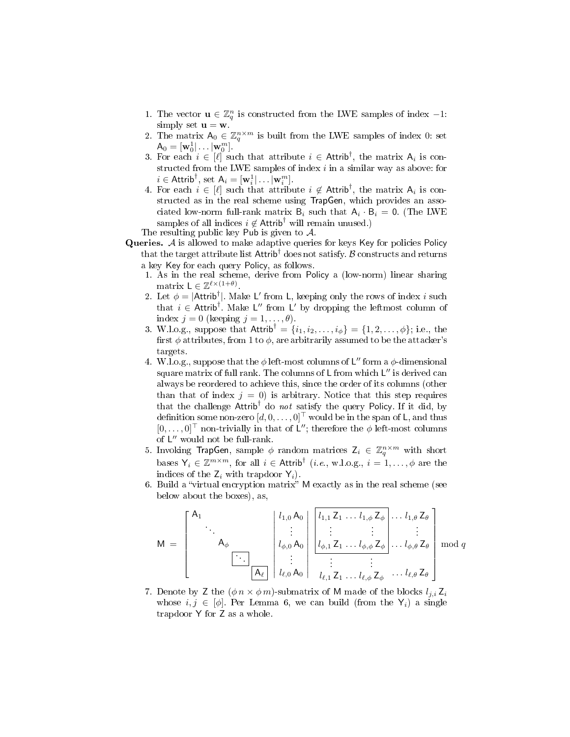- 1. The vector  $\mathbf{u} \in \mathbb{Z}_q^n$  is constructed from the LWE samples of index -1: simply set  $\mathbf{u} = \mathbf{w}$ .
- 2. The matrix  $A_0 \in \mathbb{Z}_q^{n \times m}$  is built from the LWE samples of index 0: set  $\mathsf{A}_0 = [\mathbf{w}_0^1 | \dots | \mathbf{w}_0^m].$
- 3. For each  $i \in [\ell]$  such that attribute  $i \in$  Attrib<sup>†</sup>, the matrix  $A_i$  is constructed from the LWE samples of index  $i$  in a similar way as above: for  $i \in \text{Attrib}^{\dagger}$ , set  $A_i = [\mathbf{w}_i^1 | \dots | \mathbf{w}_i^m]$ .
- 4. For each  $i \in [\ell]$  such that attribute  $i \notin$  Attrib<sup>†</sup>, the matrix  $A_i$  is constructed as in the real scheme using TrapGen, which provides an associated low-norm full-rank matrix  $B_i$  such that  $A_i \cdot B_i = 0$ . (The LWE samples of all indices  $i \notin \text{Attrib}^{\dagger}$  will remain unused.)

The resulting public key Pub is given to A.

- Queries. A is allowed to make adaptive queries for keys Key for policies Policy that the target attribute list  $\mathsf{Attribute}^\dagger$  does not satisfy.  $\mathcal B$  constructs and returns a key Key for each query Policy, as follows.
	- 1. As in the real scheme, derive from Policy a (low-norm) linear sharing matrix  $L \in \mathbb{Z}^{\ell \times (1+\theta)}$ .
	- 2. Let  $\phi = |$ Attrib<sup>†</sup>|. Make L' from L, keeping only the rows of index i such that  $i \in$  Attrib<sup>†</sup>. Make L" from L' by dropping the leftmost column of index  $j = 0$  (keeping  $j = 1, \ldots, \theta$ ).
	- 3. W.l.o.g., suppose that  $\text{Attrib}^{\dagger} = \{i_1, i_2, \ldots, i_{\phi}\} = \{1, 2, \ldots, \phi\};$  i.e., the first  $\phi$  attributes, from 1 to  $\phi$ , are arbitrarily assumed to be the attacker's targets.
	- 4. W.I.o.g., suppose that the  $\phi$  left-most columns of L" form a  $\phi$ -dimensional square matrix of full rank. The columns of L from which L" is derived can always be reordered to achieve this, since the order of its columns (other than that of index  $j = 0$ ) is arbitrary. Notice that this step requires that the challenge Attrib<sup>†</sup> do not satisfy the query Policy. If it did, by definition some non-zero  $[d, 0, \ldots, 0]^\top$  would be in the span of L, and thus  $[0,\ldots,0]^\top$  non-trivially in that of L''; therefore the  $\phi$  left-most columns of  $L''$  would not be full-rank.
	- 5. Invoking TrapGen, sample  $\phi$  random matrices  $Z_i \in \mathbb{Z}_q^{n \times m}$  with short bases  $\mathsf{Y}_i \in \mathbb{Z}^{m \times m}$ , for all  $i \in \mathsf{Attrib}^{\dagger}$  (*i.e.*, w.l.o.g.,  $i = 1, ..., \phi$  are the indices of the  $Z_i$  with trapdoor  $Y_i$ ).
	- 6. Build a "virtual encryption matrix" M exactly as in the real scheme (see below about the boxes), as,

$$
M = \begin{bmatrix} A_1 & & & \left| \begin{array}{c} l_{1,0} A_0 \\ \vdots \\ l_{\phi,0} A_0 \end{array} \right| \begin{array}{c} l_{1,1} Z_1 & \dots & l_{1,\phi} Z_{\phi} \\ \vdots & & \vdots \\ l_{\phi,1} Z_1 & \dots & l_{\phi,\phi} Z_{\phi} \end{array} \begin{bmatrix} \dots & l_{1,\theta} Z_{\theta} \\ \vdots & & \vdots \\ \dots & & \vdots \\ l_{\ell,1} Z_1 & \dots & l_{\ell,\phi} Z_{\phi} \end{array} \begin{bmatrix} \dots & l_{1,\theta} Z_{\theta} \\ \dots & \dots \\ \dots & \dots \\ l_{\theta,0} Z_{\theta} \end{bmatrix} \mod q
$$

7. Denote by Z the  $(\phi n \times \phi m)$ -submatrix of M made of the blocks  $l_{j,i} Z_i$ whose  $i, j \in [\phi]$ . Per Lemma 6, we can build (from the Y<sub>i</sub>) a single trapdoor Y for Z as a whole.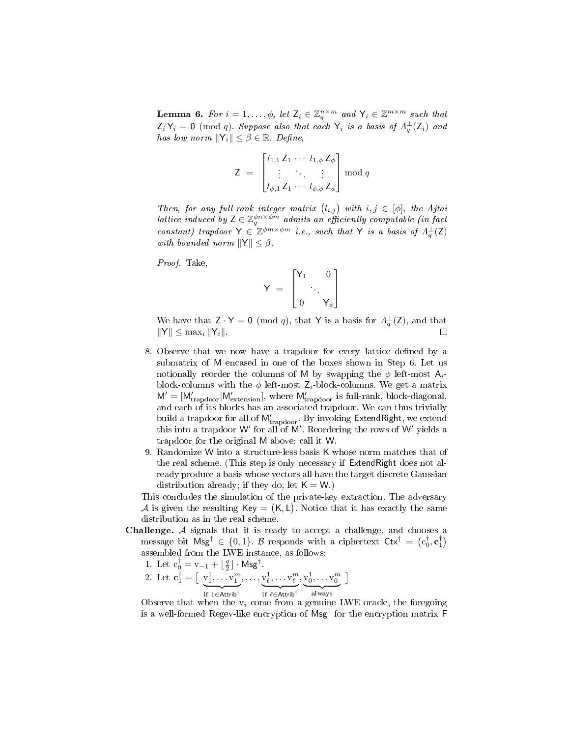**Lemma 6.** For  $i = 1, ..., \phi$ , let  $\mathsf{Z}_i \in \mathbb{Z}_q^{n \times m}$  and  $\mathsf{Y}_i \in \mathbb{Z}^{m \times m}$  such that  $\mathsf{Z}_i\,\mathsf{Y}_i = \mathsf{0} \pmod q$ . Suppose also that each  $\mathsf{Y}_i$  is a basis of  $\Lambda_q^{\perp}(\mathsf{Z}_i)$  and has low norm  $||\mathsf{Y}_i|| \leq \beta \in \mathbb{R}$ . Define,

$$
Z = \begin{bmatrix} l_{1,1} Z_1 & \cdots & l_{1,\phi} Z_{\phi} \\ \vdots & & \vdots \\ l_{\phi,1} Z_1 & \cdots & l_{\phi,\phi} Z_{\phi} \end{bmatrix} \mod q
$$

Then, for any full-rank integer matrix  $(l_{i,j})$  with  $i, j \in [\phi]$ , the Ajtai lattice induced by  $Z \in \mathbb{Z}_q^{\phi n \times \phi m}$  admits an efficiently computable (in fact constant) trapdoor  $\mathsf{Y} \in \mathbb{Z}^{\phi m \times \phi m}$  i.e., such that  $\mathsf{Y}$  is a basis of  $\Lambda_q^{\perp}(\mathsf{Z})$ with bounded norm  $||Y|| \leq \beta$ .

Proof. Take,

$$
Y = \begin{bmatrix} Y_1 & 0 \\ & \ddots \\ 0 & Y_{\phi} \end{bmatrix}
$$

We have that  $Z \cdot Y = 0 \pmod{q}$ , that Y is a basis for  $\Lambda_q^{\perp}(Z)$ , and that  $\|Y\| \leq \max_i \|Y_i\|.$  $\Box$ 

- 8. Observe that we now have a trapdoor for every lattice defined by a submatrix of M encased in one of the boxes shown in Step 6. Let us notionally reorder the columns of M by swapping the  $\phi$  left-most  $A_i$ block-columns with the  $\phi$  left-most  $Z_i$ -block-columns. We get a matrix  $M' = [M'_{trapdoor}|M'_{extension}]$ , where  $M'_{trapdoor}$  is full-rank, block-diagonal, and each of its blocks has an associated trapdoor. We can thus trivially build a trapdoor for all of  $\mathsf{M}_{\mathrm{trapdoor}}'$ . By invoking ExtendRight, we extend this into a trapdoor W' for all of M'. Reordering the rows of W' yields a trapdoor for the original M above: call it W.
- 9. Randomize W into a structure-less basis K whose norm matches that of the real scheme. (This step is only necessary if ExtendRight does not already produce a basis whose vectors all have the target discrete Gaussian distribution already; if they do, let  $K = W$ .)

This concludes the simulation of the private-key extraction. The adversary  $\mathcal A$  is given the resulting Key = (K, L). Notice that it has exactly the same distribution as in the real scheme.

- Challenge. A signals that it is ready to accept a challenge, and chooses a message bit  $\text{Msg}^\dagger \in \{0,1\}$ . B responds with a ciphertext  $\text{Ctx}^\dagger = (c_0^\dagger, c_1^\dagger)$ assembled from the LWE instance, as follows:
	- 1. Let  $c_0^{\dagger} = v_{-1} + \lfloor \frac{q}{2} \rfloor \cdot \mathsf{Msg}^{\dagger}$ .
	- 2. Let  $\mathbf{c}_1^{\dagger} = [\begin{array}{c} v_1^1, \ldots, v_1^m \end{array}]$  $if 1 ∈ Attrib<sup>†</sup>$  $,\ldots,v_\ell^1,\ldots v_\ell^m$  $\overline{\text{if }\ell\in\text{Attrib}^\dagger}$  $, v_0^1, \ldots v_0^m$ always 1

Observe that when the  $v_i$  come from a genuine LWE oracle, the foregoing is a well-formed Regev-like encryption of  $\textsf{Msg}^\dagger$  for the encryption matrix F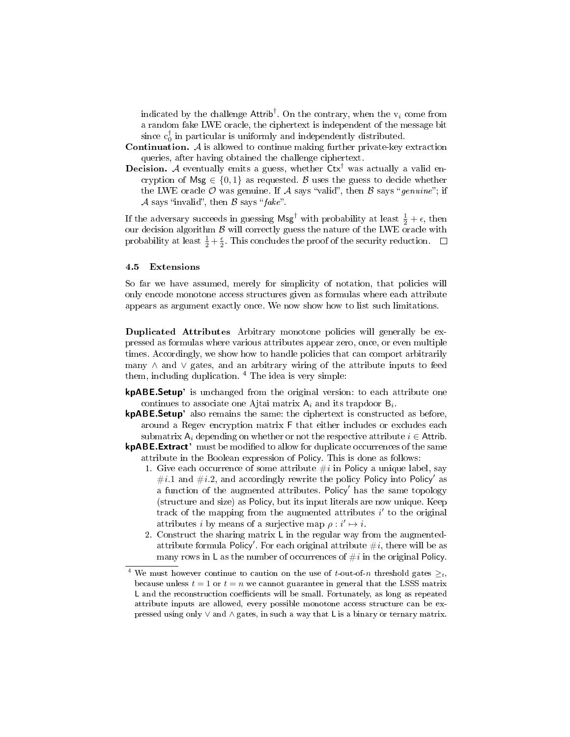indicated by the challenge  $\mathsf{Attrib}^{\dagger}$ . On the contrary, when the  $v_i$  come from a random fake LWE oracle, the ciphertext is independent of the message bit since  $c_0^{\dagger}$  in particular is uniformly and independently distributed.

- **Continuation.**  $A$  is allowed to continue making further private-key extraction queries, after having obtained the challenge ciphertext.
- **Decision.** A eventually emits a guess, whether  $Ctx^{\dagger}$  was actually a valid encryption of Msg  $\in \{0,1\}$  as requested. B uses the guess to decide whether the LWE oracle  $\mathcal O$  was genuine. If  $\mathcal A$  says "valid", then  $\mathcal B$  says "genuine"; if A says "invalid", then  $\beta$  says "fake".

If the adversary succeeds in guessing  $\mathsf{Msg}^\dagger$  with probability at least  $\frac{1}{2} + \epsilon$ , then our decision algorithm  ${\cal B}$  will correctly guess the nature of the LWE oracle with probability at least  $\frac{1}{2} + \frac{\epsilon}{2}$ . This concludes the proof of the security reduction.

### 4.5 Extensions

So far we have assumed, merely for simplicity of notation, that policies will only encode monotone access structures given as formulas where each attribute appears as argument exactly once. We now show how to list such limitations.

Duplicated Attributes Arbitrary monotone policies will generally be expressed as formulas where various attributes appear zero, once, or even multiple times. Accordingly, we show how to handle policies that can comport arbitrarily many ∧ and ∨ gates, and an arbitrary wiring of the attribute inputs to feed them, including duplication.  $4$  The idea is very simple:

- kpABE.Setup' is unchanged from the original version: to each attribute one continues to associate one Ajtai matrix  $A_i$  and its trapdoor  $B_i$ .
- kpABE.Setup' also remains the same: the ciphertext is constructed as before, around a Regev encryption matrix F that either includes or excludes each submatrix  $A_i$  depending on whether or not the respective attribute  $i \in$  Attrib.
- **kpABE.Extract'** must be modified to allow for duplicate occurrences of the same attribute in the Boolean expression of Policy. This is done as follows:
	- 1. Give each occurrence of some attribute  $\#i$  in Policy a unique label, say #*i.1* and #*i.2*, and accordingly rewrite the policy Policy into Policy' as a function of the augmented attributes. Policy' has the same topology (structure and size) as Policy, but its input literals are now unique. Keep track of the mapping from the augmented attributes  $i'$  to the original attributes *i* by means of a surjective map  $\rho : i' \mapsto i$ .
	- 2. Construct the sharing matrix L in the regular way from the augmentedattribute formula Policy'. For each original attribute  $\#i$ , there will be as many rows in L as the number of occurrences of  $\#i$  in the original Policy.

We must however continue to caution on the use of t-out-of-n threshold gates  $\geq_t$ , because unless  $t = 1$  or  $t = n$  we cannot guarantee in general that the LSSS matrix L and the reconstruction coefficients will be small. Fortunately, as long as repeated attribute inputs are allowed, every possible monotone access structure can be expressed using only ∨ and ∧ gates, in such a way that L is a binary or ternary matrix.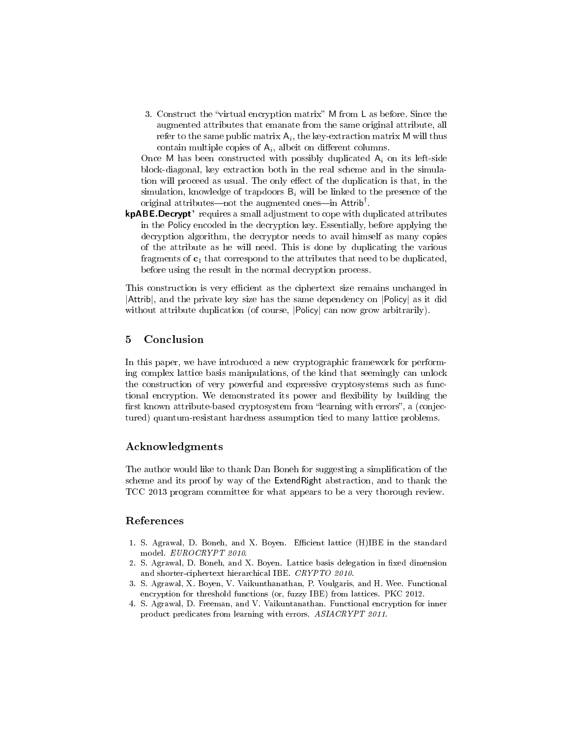3. Construct the "virtual encryption matrix" M from L as before. Since the augmented attributes that emanate from the same original attribute, all refer to the same public matrix  $\mathsf{A}_i,$  the key-extraction matrix  $\mathsf{M}$  will thus contain multiple copies of  $A_i$ , albeit on different columns.

Once M has been constructed with possibly duplicated  $A_i$  on its left-side block-diagonal, key extraction both in the real scheme and in the simulation will proceed as usual. The only effect of the duplication is that, in the simulation, knowledge of trapdoors  $B_i$  will be linked to the presence of the original attributes—not the augmented ones—in  $\mathsf{Attrib}^{\dagger}$ .

kpABE.Decrypt' requires a small adjustment to cope with duplicated attributes in the Policy encoded in the decryption key. Essentially, before applying the decryption algorithm, the decryptor needs to avail himself as many copies of the attribute as he will need. This is done by duplicating the various fragments of  $c_1$  that correspond to the attributes that need to be duplicated, before using the result in the normal decryption process.

This construction is very efficient as the ciphertext size remains unchanged in |Attrib|, and the private key size has the same dependency on |Policy| as it did without attribute duplication (of course,  $|Policy|$  can now grow arbitrarily).

## 5 Conclusion

In this paper, we have introduced a new cryptographic framework for performing complex lattice basis manipulations, of the kind that seemingly can unlock the construction of very powerful and expressive cryptosystems such as functional encryption. We demonstrated its power and flexibility by building the first known attribute-based cryptosystem from "learning with errors", a (conjectured) quantum-resistant hardness assumption tied to many lattice problems.

## Acknowledgments

The author would like to thank Dan Boneh for suggesting a simplification of the scheme and its proof by way of the ExtendRight abstraction, and to thank the TCC 2013 program committee for what appears to be a very thorough review.

# References

- 1. S. Agrawal, D. Boneh, and X. Boyen. Efficient lattice (H)IBE in the standard model. EUROCRYPT 2010.
- 2. S. Agrawal, D. Boneh, and X. Boyen. Lattice basis delegation in fixed dimension and shorter-ciphertext hierarchical IBE. CRYPTO 2010.
- 3. S. Agrawal, X. Boyen, V. Vaikunthanathan, P. Voulgaris, and H. Wee. Functional encryption for threshold functions (or, fuzzy IBE) from lattices. PKC 2012.
- 4. S. Agrawal, D. Freeman, and V. Vaikuntanathan. Functional encryption for inner product predicates from learning with errors. ASIACRYPT 2011.